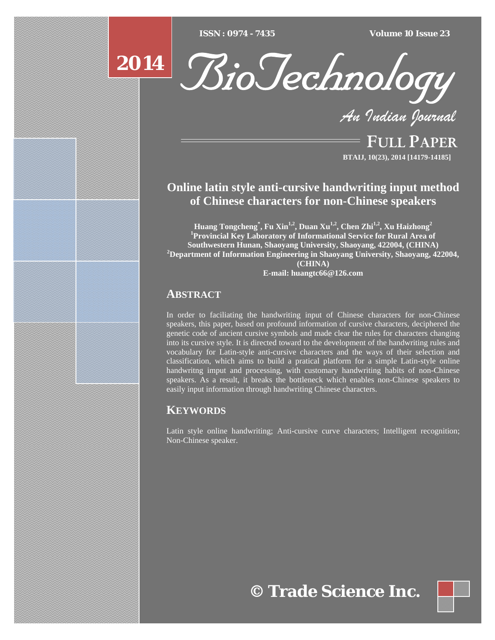$ISSN : 0974 - 7435$ 

*ISSN : 0974 - 7435 Volume 10 Issue 23*

# **2014**



*An Indian Journal*

FULL PAPER **BTAIJ, 10(23), 2014 [14179-14185]**

# **Online latin style anti-cursive handwriting input method of Chinese characters for non-Chinese speakers**

**Huang Tongcheng\* , Fu Xin1,2, Duan Xu1,2, Chen Zhi1,2, Xu Haizhong2 1 Provincial Key Laboratory of Informational Service for Rural Area of Southwestern Hunan, Shaoyang University, Shaoyang, 422004, (CHINA) 2 Department of Information Engineering in Shaoyang University, Shaoyang, 422004, (CHINA) E-mail: huangtc66@126.com** 

## **ABSTRACT**

In order to faciliating the handwriting input of Chinese characters for non-Chinese speakers, this paper, based on profound information of cursive characters, deciphered the genetic code of ancient cursive symbols and made clear the rules for characters changing into its cursive style. It is directed toward to the development of the handwriting rules and vocabulary for Latin-style anti-cursive characters and the ways of their selection and classification, which aims to build a pratical platform for a simple Latin-style online handwritng imput and processing, with customary handwriting habits of non-Chinese speakers. As a result, it breaks the bottleneck which enables non-Chinese speakers to easily input information through handwriting Chinese characters.

## **KEYWORDS**

Latin style online handwriting; Anti-cursive curve characters; Intelligent recognition; Non-Chinese speaker.

**© Trade Science Inc.**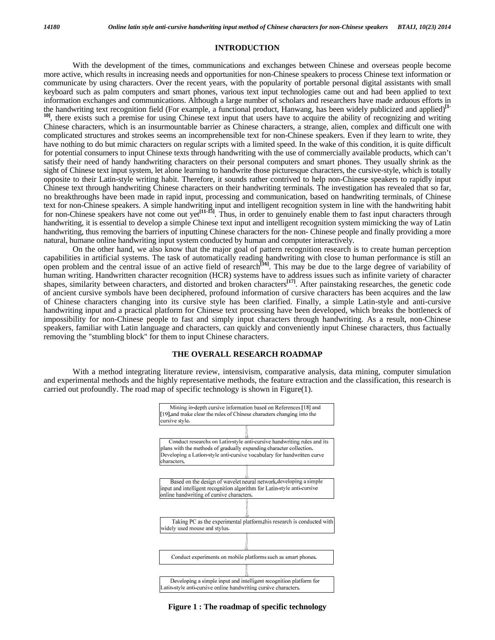#### **INTRODUCTION**

 With the development of the times, communications and exchanges between Chinese and overseas people become more active, which results in increasing needs and opportunities for non-Chinese speakers to process Chinese text information or communicate by using characters. Over the recent years, with the popularity of portable personal digital assistants with small keyboard such as palm computers and smart phones, various text input technologies came out and had been applied to text information exchanges and communications. Although a large number of scholars and researchers have made arduous efforts in the handwriting text recognition field (For example, a functional product, Hanwang, has been widely publicized and applied)**[1-** <sup>10</sup>, there exists such a premise for using Chinese text input that users have to acquire the ability of recognizing and writing Chinese characters, which is an insurmountable barrier as Chinese characters, a strange, alien, complex and difficult one with complicated structures and strokes seems an incomprehensible text for non-Chinese speakers. Even if they learn to write, they have nothing to do but mimic characters on regular scripts with a limited speed. In the wake of this condition, it is quite difficult for potential consumers to input Chinese texts through handwriting with the use of commercially available products, which can't satisfy their need of handy handwriting characters on their personal computers and smart phones. They usually shrink as the sight of Chinese text input system, let alone learning to handwrite those picturesque characters, the cursive-style, which is totally opposite to their Latin-style writing habit. Therefore, it sounds rather contrived to help non-Chinese speakers to rapidly input Chinese text through handwriting Chinese characters on their handwriting terminals. The investigation has revealed that so far, no breakthroughs have been made in rapid input, processing and communication, based on handwriting terminals, of Chinese text for non-Chinese speakers. A simple handwriting input and intelligent recognition system in line with the handwriting habit for non-Chinese speakers have not come out yet**[11-15]**. Thus, in order to genuinely enable them to fast input characters through handwriting, it is essential to develop a simple Chinese text input and intelligent recognition system mimicking the way of Latin handwriting, thus removing the barriers of inputting Chinese characters for the non-Chinese people and finally providing a more natural, humane online handwriting input system conducted by human and computer interactively.

 On the other hand, we also know that the major goal of pattern recognition research is to create human perception capabilities in artificial systems. The task of automatically reading handwriting with close to human performance is still an open problem and the central issue of an active field of research**[16]**. This may be due to the large degree of variability of human writing. Handwritten character recognition (HCR) systems have to address issues such as infinite variety of character shapes, similarity between characters, and distorted and broken characters**[17]**. After painstaking researches, the genetic code of ancient cursive symbols have been deciphered, profound information of cursive characters has been acquires and the law of Chinese characters changing into its cursive style has been clarified. Finally, a simple Latin-style and anti-cursive handwriting input and a practical platform for Chinese text processing have been developed, which breaks the bottleneck of impossibility for non-Chinese people to fast and simply input characters through handwriting. As a result, non-Chinese speakers, familiar with Latin language and characters, can quickly and conveniently input Chinese characters, thus factually removing the "stumbling block" for them to input Chinese characters.

#### **THE OVERALL RESEARCH ROADMAP**

 With a method integrating literature review, intensivism, comparative analysis, data mining, computer simulation and experimental methods and the highly representative methods, the feature extraction and the classification, this research is carried out profoundly. The road map of specific technology is shown in Figure(1).



**Figure 1 : The roadmap of specific technology**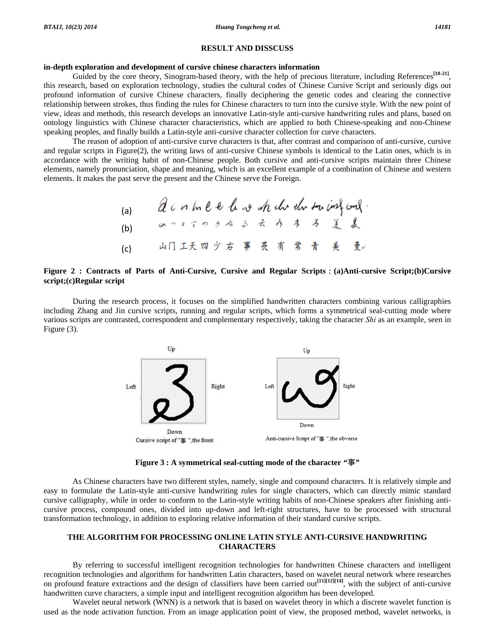#### **RESULT AND DISSCUSS**

#### **in-depth exploration and development of cursive chinese characters information**

 Guided by the core theory, Sinogram-based theory, with the help of precious literature, including References**[18-21]**, this research, based on exploration technology, studies the cultural codes of Chinese Cursive Script and seriously digs out profound information of cursive Chinese characters, finally deciphering the genetic codes and clearing the connective relationship between strokes, thus finding the rules for Chinese characters to turn into the cursive style. With the new point of view, ideas and methods, this research develops an innovative Latin-style anti-cursive handwriting rules and plans, based on ontology linguistics with Chinese character characteristics, which are applied to both Chinese-speaking and non-Chinese speaking peoples, and finally builds a Latin-style anti-cursive character collection for curve characters.

 The reason of adoption of anti-cursive curve characters is that, after contrast and comparison of anti-cursive, cursive and regular scripts in Figure(2), the writing laws of anti-cursive Chinese symbols is identical to the Latin ones, which is in accordance with the writing habit of non-Chinese people. Both cursive and anti-cursive scripts maintain three Chinese elements, namely pronunciation, shape and meaning, which is an excellent example of a combination of Chinese and western elements. It makes the past serve the present and the Chinese serve the Foreign.

| (a) | $Q \in n$ in $l \in U$ up the <i>u</i> th the <i>u</i> th term in $l \in U$                                                                                                                                                                                                                                                                                                                                                                                                                                                                                                                                                     |                          |
|-----|---------------------------------------------------------------------------------------------------------------------------------------------------------------------------------------------------------------------------------------------------------------------------------------------------------------------------------------------------------------------------------------------------------------------------------------------------------------------------------------------------------------------------------------------------------------------------------------------------------------------------------|--------------------------|
| (b) | $Q \cap 2 \subseteq 0$ is $d \Rightarrow \neg 3 \neq 3$                                                                                                                                                                                                                                                                                                                                                                                                                                                                                                                                                                         | $d \Rightarrow 4 \neq 3$ |
| (c) | $\perp$ 41115. $\perp$ 41115. $\perp$ 41115. $\perp$ 41115. $\perp$ 41115. $\perp$ 41115. $\perp$ 41115. $\perp$ 41115. $\perp$ 41115. $\perp$ 41115. $\perp$ 41115. $\perp$ 41115. $\perp$ 41115. $\perp$ 41115. $\perp$ 41115. $\perp$ 41115. $\perp$ 41115. $\perp$ 41115. $\perp$ 41115. $\perp$ 41115. $\perp$ 41115. $\perp$ 41115. $\perp$ 41115. $\perp$ 41115. $\perp$ 41115. $\perp$ 41115. $\perp$ 41115. $\perp$ 41115. $\perp$ 41115. $\perp$ 41115. $\perp$ 41115. $\perp$ 41115. $\perp$ 41115. $\perp$ 41115. $\perp$ 41115. $\perp$ 41115. $\perp$ 41115. $\perp$ 41115. $\perp$ 41115. $\perp$ 41115. $\perp$ |                          |

### **Figure 2 : Contracts of Parts of Anti-Cursive, Cursive and Regular Scripts**:**(a)Anti-cursive Script;(b)Cursive script;(c)Regular script**

 During the research process, it focuses on the simplified handwritten characters combining various calligraphies including Zhang and Jin cursive scripts, running and regular scripts, which forms a symmetrical seal-cutting mode where various scripts are contrasted, correspondent and complementary respectively, taking the character *Shi* as an example, seen in Figure (3).



**Figure 3 : A symmetrical seal-cutting mode of the character** *"*事*"*

 As Chinese characters have two different styles, namely, single and compound characters. It is relatively simple and easy to formulate the Latin-style anti-cursive handwriting rules for single characters, which can directly mimic standard cursive calligraphy, while in order to conform to the Latin-style writing habits of non-Chinese speakers after finishing anticursive process, compound ones, divided into up-down and left-right structures, have to be processed with structural transformation technology, in addition to exploring relative information of their standard cursive scripts.

#### **THE ALGORITHM FOR PROCESSING ONLINE LATIN STYLE ANTI-CURSIVE HANDWRITING CHARACTERS**

 By referring to successful intelligent recognition technologies for handwritten Chinese characters and intelligent recognition technologies and algorithms for handwritten Latin characters, based on wavelet neural network where researches on profound feature extractions and the design of classifiers have been carried out**[11][12][14]**, with the subject of anti-cursive handwritten curve characters, a simple input and intelligent recognition algorithm has been developed.

 Wavelet neural network (WNN) is a network that is based on wavelet theory in which a discrete wavelet function is used as the node activation function. From an image application point of view, the proposed method, wavelet networks, is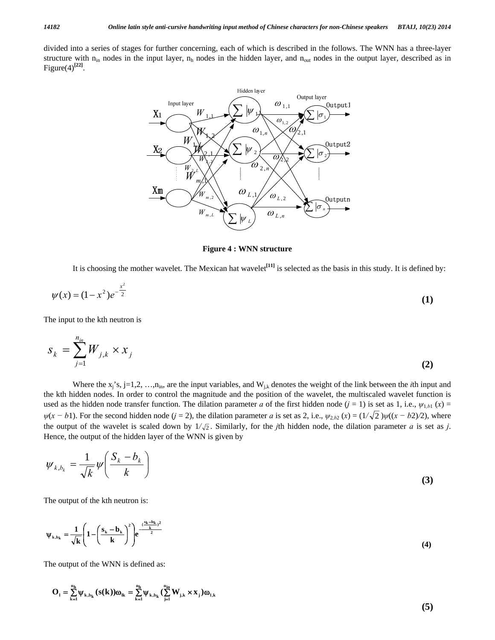divided into a series of stages for further concerning, each of which is described in the follows. The WNN has a three-layer structure with  $n_{in}$  nodes in the input layer,  $n_h$  nodes in the hidden layer, and  $n_{out}$  nodes in the output layer, described as in Figure $(4)^{[22]}$ .



**Figure 4 : WNN structure** 

It is choosing the mother wavelet. The Mexican hat wavelet<sup>[11]</sup> is selected as the basis in this study. It is defined by:

$$
\psi(x) = (1 - x^2)e^{-\frac{x^2}{2}}\tag{1}
$$

The input to the kth neutron is

$$
S_k = \sum_{j=1}^{n_{in}} W_{j,k} \times x_j
$$
\n(2)

Where the  $x_i$ 's, j=1,2, ...,n<sub>in</sub>, are the input variables, and  $W_{i,k}$  denotes the weight of the link between the *i*th input and the kth hidden nodes. In order to control the magnitude and the position of the wavelet, the multiscaled wavelet function is used as the hidden node transfer function. The dilation parameter *a* of the first hidden node  $(j = 1)$  is set as 1, i.e.,  $\psi_{1,b1}(x) =$  $\psi(x-b1)$ . For the second hidden node (j = 2), the dilation parameter a is set as 2, i.e.,  $\psi_{2,b2}(x) = (1/\sqrt{2})\psi((x-b2)/2)$ , where the output of the wavelet is scaled down by  $1/\sqrt{2}$ . Similarly, for the *j*th hidden node, the dilation parameter *a* is set as *j*. Hence, the output of the hidden layer of the WNN is given by

$$
\psi_{k,b_k} = \frac{1}{\sqrt{k}} \psi \left( \frac{S_k - b_k}{k} \right) \tag{3}
$$

The output of the kth neutron is:

$$
\psi_{k,b_k} = \frac{1}{\sqrt{k}} \left( 1 - \left( \frac{s_k - b_k}{k} \right)^2 \right) e^{-\frac{\left( \frac{8k - b_k}{k} \right)^2}{2}}
$$
(4)

The output of the WNN is defined as:

$$
O_{i} = \sum_{k=1}^{n_{h}} \psi_{k,b_{k}}(s(k))\omega_{ik} = \sum_{k=1}^{n_{h}} \psi_{k,b_{k}}(\sum_{j=1}^{n_{in}} W_{j,k} \times x_{j})\omega_{i,k}
$$
\n(5)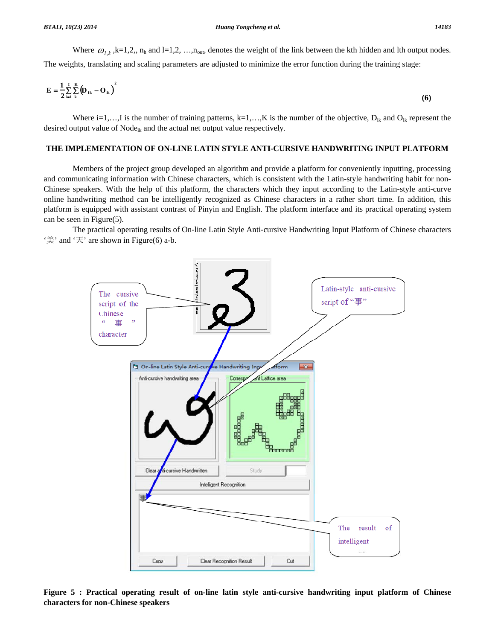Where  $\omega_{l,k}$ , k=1,2,, n<sub>h</sub> and l=1,2, …,n<sub>out</sub>, denotes the weight of the link between the kth hidden and lth output nodes.

The weights, translating and scaling parameters are adjusted to minimize the error function during the training stage:

$$
E = \frac{1}{2} \sum_{i=1}^{I} \sum_{k}^{K} (D_{ik} - O_{ik})^{2}
$$
 (6)

Where i=1,...,I is the number of training patterns, k=1,...,K is the number of the objective,  $D_{ik}$  and  $O_{ik}$  represent the desired output value of Node<sub>ik</sub> and the actual net output value respectively.

## **THE IMPLEMENTATION OF ON-LINE LATIN STYLE ANTI-CURSIVE HANDWRITING INPUT PLATFORM**

 Members of the project group developed an algorithm and provide a platform for conveniently inputting, processing and communicating information with Chinese characters, which is consistent with the Latin-style handwriting habit for non-Chinese speakers. With the help of this platform, the characters which they input according to the Latin-style anti-curve online handwriting method can be intelligently recognized as Chinese characters in a rather short time. In addition, this platform is equipped with assistant contrast of Pinyin and English. The platform interface and its practical operating system can be seen in Figure(5).

 The practical operating results of On-line Latin Style Anti-cursive Handwriting Input Platform of Chinese characters '美' and '天' are shown in Figure(6) a-b.



**Figure 5 : Practical operating result of on-line latin style anti-cursive handwriting input platform of Chinese characters for non-Chinese speakers**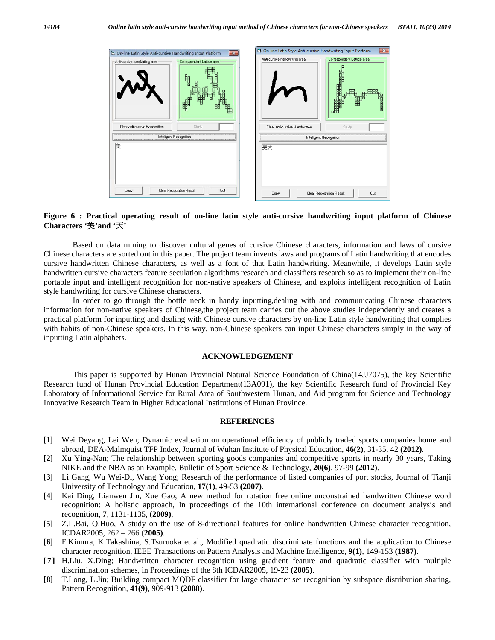

#### **Figure 6 : Practical operating result of on-line latin style anti-cursive handwriting input platform of Chinese Characters '**美**'and '**天**'**

 Based on data mining to discover cultural genes of cursive Chinese characters, information and laws of cursive Chinese characters are sorted out in this paper. The project team invents laws and programs of Latin handwriting that encodes cursive handwritten Chinese characters, as well as a font of that Latin handwriting. Meanwhile, it develops Latin style handwritten cursive characters feature seculation algorithms research and classifiers research so as to implement their on-line portable input and intelligent recognition for non-native speakers of Chinese, and exploits intelligent recognition of Latin style handwriting for cursive Chinese characters.

 In order to go through the bottle neck in handy inputting,dealing with and communicating Chinese characters information for non-native speakers of Chinese,the project team carries out the above studies independently and creates a practical platform for inputting and dealing with Chinese cursive characters by on-line Latin style handwriting that complies with habits of non-Chinese speakers. In this way, non-Chinese speakers can input Chinese characters simply in the way of inputting Latin alphabets.

#### **ACKNOWLEDGEMENT**

 This paper is supported by Hunan Provincial Natural Science Foundation of China(14JJ7075), the key Scientific Research fund of Hunan Provincial Education Department(13A091), the key Scientific Research fund of Provincial Key Laboratory of Informational Service for Rural Area of Southwestern Hunan, and Aid program for Science and Technology Innovative Research Team in Higher Educational Institutions of Hunan Province.

#### **REFERENCES**

- **[1]** Wei Deyang, Lei Wen; Dynamic evaluation on operational efficiency of publicly traded sports companies home and abroad, DEA-Malmquist TFP Index, Journal of Wuhan Institute of Physical Education, **46(2)**, 31-35, 42 **(2012)**.
- **[2]** Xu Ying-Nan; The relationship between sporting goods companies and competitive sports in nearly 30 years, Taking NIKE and the NBA as an Example, Bulletin of Sport Science & Technology, **20(6)**, 97-99 **(2012)**.
- **[3]** Li Gang, Wu Wei-Di, Wang Yong; Research of the performance of listed companies of port stocks, Journal of Tianji University of Technology and Education, **17(1)**, 49-53 **(2007)**.
- **[4]** Kai Ding, Lianwen Jin, Xue Gao; A new method for rotation free online unconstrained handwritten Chinese word recognition: A holistic approach, In proceedings of the 10th international conference on document analysis and recognition, **7**, 1131-1135, **(2009)**,
- **[5]** Z.L.Bai, Q.Huo, A study on the use of 8-directional features for online handwritten Chinese character recognition, ICDAR2005, 262 – 266 **(2005)**.
- **[6]** F.Kimura, K.Takashina, S.Tsuruoka et al., Modified quadratic discriminate functions and the application to Chinese character recognition, IEEE Transactions on Pattern Analysis and Machine Intelligence, **9(1)**, 149-153 **(1987)**.
- **[7]** H.Liu, X.Ding; Handwritten character recognition using gradient feature and quadratic classifier with multiple discrimination schemes, in Proceedings of the 8th ICDAR2005, 19-23 **(2005)**.
- **[8]** T.Long, L.Jin; Building compact MQDF classifier for large character set recognition by subspace distribution sharing, Pattern Recognition, **41(9)**, 909-913 **(2008)**.